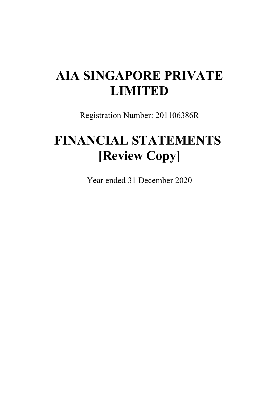# **AIA SINGAPORE PRIVATE LIMITED**

Registration Number: 201106386R

# **FINANCIAL STATEMENTS [Review Copy]**

Year ended 31 December 2020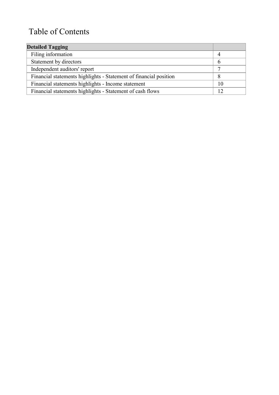# Table of Contents

| <b>Detailed Tagging</b>                                           |    |
|-------------------------------------------------------------------|----|
| Filing information                                                | 4  |
| Statement by directors                                            | 6  |
| Independent auditors' report                                      | ⇁  |
| Financial statements highlights - Statement of financial position | 8  |
| Financial statements highlights - Income statement                | 10 |
| Financial statements highlights - Statement of cash flows         |    |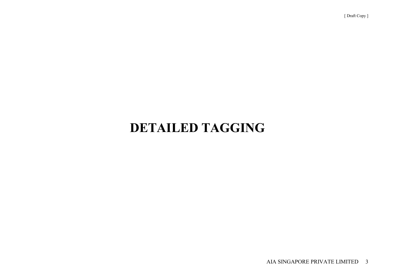# **DETAILED TAGGING**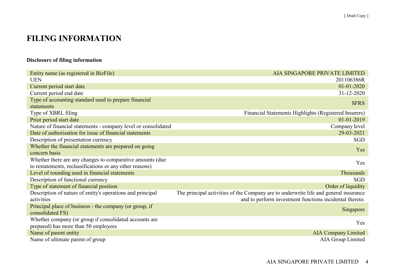## **FILING INFORMATION**

## **Disclosure of filing information**

| Entity name (as registered in BizFile)                         | AIA SINGAPORE PRIVATE LIMITED                                                        |
|----------------------------------------------------------------|--------------------------------------------------------------------------------------|
| <b>UEN</b>                                                     | 201106386R                                                                           |
| Current period start date                                      | $01 - 01 - 2020$                                                                     |
| Current period end date                                        | 31-12-2020                                                                           |
| Type of accounting standard used to prepare financial          | <b>SFRS</b>                                                                          |
| statements                                                     |                                                                                      |
| Type of XBRL filing                                            | Financial Statements Highlights (Registered Insurers)                                |
| Prior period start date                                        | 01-01-2019                                                                           |
| Nature of financial statements - company level or consolidated | Company level                                                                        |
| Date of authorisation for issue of financial statements        | 29-03-2021                                                                           |
| Description of presentation currency                           | SGD                                                                                  |
| Whether the financial statements are prepared on going         | Yes                                                                                  |
| concern basis                                                  |                                                                                      |
| Whether there are any changes to comparative amounts (due)     | Yes                                                                                  |
| to restatements, reclassifications or any other reasons)       |                                                                                      |
| Level of rounding used in financial statements                 | Thousands                                                                            |
| Description of functional currency                             | SGD                                                                                  |
| Type of statement of financial position                        | Order of liquidity                                                                   |
| Description of nature of entity's operations and principal     | The principal activities of the Company are to underwrite life and general insurance |
| activities                                                     | and to perform investment functions incidental thereto.                              |
| Principal place of business - the company (or group, if        | Singapore                                                                            |
| consolidated FS)                                               |                                                                                      |
| Whether company (or group if consolidated accounts are         | Yes                                                                                  |
| prepared) has more than 50 employees                           |                                                                                      |
| Name of parent entity                                          | <b>AIA Company Limited</b>                                                           |
| Name of ultimate parent of group                               | AIA Group Limited                                                                    |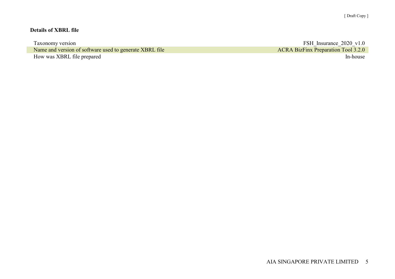### **Details of XBRL file**

| Taxonomy version                                        | FSH Insurance 2020 v1.0                    |
|---------------------------------------------------------|--------------------------------------------|
| Name and version of software used to generate XBRL file | <b>ACRA BizFinx Preparation Tool 3.2.0</b> |
| How was XBRL file prepared                              | In-house                                   |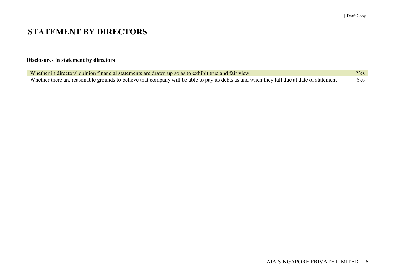## **STATEMENT BY DIRECTORS**

## **Disclosures in statement by directors**

| Whether in directors' opinion financial statements are drawn up so as to exhibit true and fair view                                       | Yes \, |
|-------------------------------------------------------------------------------------------------------------------------------------------|--------|
| Whether there are reasonable grounds to believe that company will be able to pay its debts as and when they fall due at date of statement | Yes    |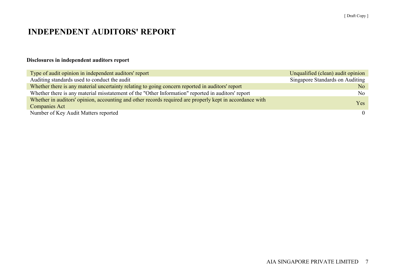## **INDEPENDENT AUDITORS' REPORT**

## **Disclosures in independent auditors report**

| Type of audit opinion in independent auditors' report                                                    | Unqualified (clean) audit opinion |
|----------------------------------------------------------------------------------------------------------|-----------------------------------|
| Auditing standards used to conduct the audit                                                             | Singapore Standards on Auditing   |
| Whether there is any material uncertainty relating to going concern reported in auditors' report         | No                                |
| Whether there is any material misstatement of the "Other Information" reported in auditors' report       | No                                |
| Whether in auditors' opinion, accounting and other records required are properly kept in accordance with | Yes.                              |
| <b>Companies Act</b>                                                                                     |                                   |
| Number of Key Audit Matters reported                                                                     | $\theta$                          |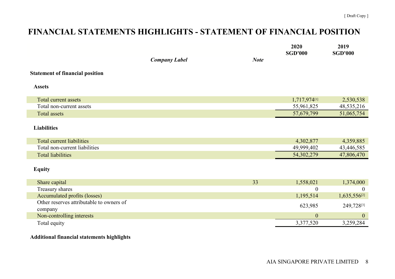# **FINANCIAL STATEMENTS HIGHLIGHTS - STATEMENT OF FINANCIAL POSITION**

|                                                     |                      |             | 2020<br><b>SGD'000</b> | 2019<br><b>SGD'000</b>   |
|-----------------------------------------------------|----------------------|-------------|------------------------|--------------------------|
|                                                     | <b>Company Label</b> | <b>Note</b> |                        |                          |
| <b>Statement of financial position</b>              |                      |             |                        |                          |
| <b>Assets</b>                                       |                      |             |                        |                          |
| <b>Total current assets</b>                         |                      |             | 1,717,974[1]           | 2,530,538                |
| Total non-current assets                            |                      |             | 55,961,825             | 48,535,216               |
| <b>Total assets</b>                                 |                      |             | 57,679,799             | 51,065,754               |
| <b>Liabilities</b>                                  |                      |             |                        |                          |
| Total current liabilities                           |                      |             | 4,302,877              | 4,359,885                |
| Total non-current liabilities                       |                      |             | 49,999,402             | 43,446,585               |
| <b>Total liabilities</b>                            |                      |             | 54,302,279             | 47,806,470               |
| <b>Equity</b>                                       |                      |             |                        |                          |
| Share capital                                       |                      | 33          | 1,558,021              | 1,374,000                |
| Treasury shares                                     |                      |             | $\theta$               | $\overline{0}$           |
| Accumulated profits (losses)                        |                      |             | 1,195,514              | 1,635,556 <sup>[2]</sup> |
| Other reserves attributable to owners of<br>company |                      |             | 623,985                | 249,728[3]               |
| Non-controlling interests                           |                      |             | $\boldsymbol{0}$       | $\boldsymbol{0}$         |
| Total equity                                        |                      |             | 3,377,520              | 3,259,284                |
|                                                     |                      |             |                        |                          |

## **Additional financial statements highlights**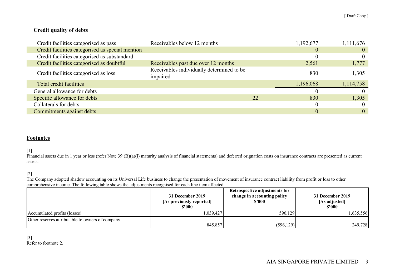### **Credit quality of debts**

| Credit facilities categorised as pass            | Receivables below 12 months                           |    | 1,192,677 | 1,111,676 |
|--------------------------------------------------|-------------------------------------------------------|----|-----------|-----------|
| Credit facilities categorised as special mention |                                                       |    | $\theta$  | $\theta$  |
| Credit facilities categorised as substandard     |                                                       |    |           |           |
| Credit facilities categorised as doubtful        | Receivables past due over 12 months                   |    | 2,561     | 1,777     |
| Credit facilities categorised as loss            | Receivables individually determined to be<br>impaired |    | 830       | 1,305     |
| Total credit facilities                          |                                                       |    | 1,196,068 | 1,114,758 |
| General allowance for debts                      |                                                       |    |           |           |
| Specific allowance for debts                     |                                                       | 22 | 830       | 1,305     |
| Collaterals for debts                            |                                                       |    |           |           |
| Commitments against debts                        |                                                       |    |           | $\Omega$  |

#### **Footnotes**

[1]

Financial assets due in 1 year or less (refer Note 39 (B)(a)(i) maturity analysis of financial statements) and deferred orignation costs on insurance contracts are presented as current assets.

[2]

The Company adopted shadow accounting on its Universal Life business to change the presentation of movement of insurance contract liability from profit or loss to other comprehensive income. The following table shows the adjustments recognised for each line item affected:

|                                                  | 31 December 2019<br>[As previously reported]<br>\$2000 | Retrospective adjustments for<br>change in accounting policy<br>\$'000 | 31 December 2019<br>[As adjusted]<br>\$'000 |
|--------------------------------------------------|--------------------------------------------------------|------------------------------------------------------------------------|---------------------------------------------|
| Accumulated profits (losses)                     | 1.039.427                                              | 596,129                                                                | .635,556                                    |
| Other reserves attributable to owners of company | 845,857                                                | (596, 129)                                                             | 249,728                                     |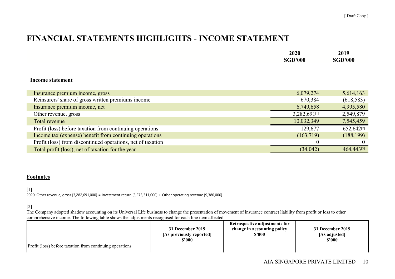## **FINANCIAL STATEMENTS HIGHLIGHTS - INCOME STATEMENT**

| 2020           | 2019           |
|----------------|----------------|
| <b>SGD'000</b> | <b>SGD'000</b> |

#### **Income statement**

| Insurance premium income, gross                             | 6,079,274    | 5,614,163  |
|-------------------------------------------------------------|--------------|------------|
| Reinsurers' share of gross written premiums income          | 670,384      | (618, 583) |
| Insurance premium income, net                               | 6,749,658    | 4,995,580  |
| Other revenue, gross                                        | 3,282,691[1] | 2,549,879  |
| Total revenue                                               | 10,032,349   | 7,545,459  |
| Profit (loss) before taxation from continuing operations    | 129,677      | 652,642[2] |
| Income tax (expense) benefit from continuing operations     | (163,719)    | (188, 199) |
| Profit (loss) from discontinued operations, net of taxation |              |            |
| Total profit (loss), net of taxation for the year           | (34, 042)    | 464,443[3] |

#### **Footnotes**

#### [1]

2020: Other revenue, gross [3,282,691,000] = Investment return [3,273,311,000] + Other operating revenue [9,380,000]

#### [2]

The Company adopted shadow accounting on its Universal Life business to change the presentation of movement of insurance contract liability from profit or loss to other comprehensive income. The following table shows the adjustments recognised for each line item affected:

|                                                          | 31 December 2019         | Retrospective adjustments for | 31 December 2019 |
|----------------------------------------------------------|--------------------------|-------------------------------|------------------|
|                                                          | [As previously reported] | change in accounting policy   | [As adjusted]    |
|                                                          | \$'000                   | \$3000                        | \$2000           |
| Profit (loss) before taxation from continuing operations |                          |                               |                  |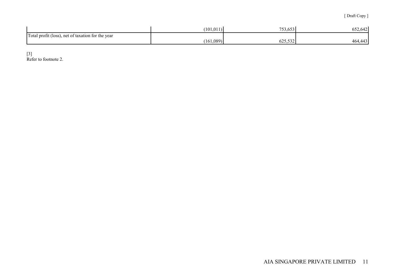|                                                   | (101, 011) | 753,65<br>$\sim$ $\sim$ $\sim$ | 652,642                 |
|---------------------------------------------------|------------|--------------------------------|-------------------------|
| Total profit (loss), net of taxation for the year |            |                                |                         |
|                                                   | (161,089)  | 625,532                        | $\Delta$<br>464.<br>44د |

[3] Refer to footnote 2.